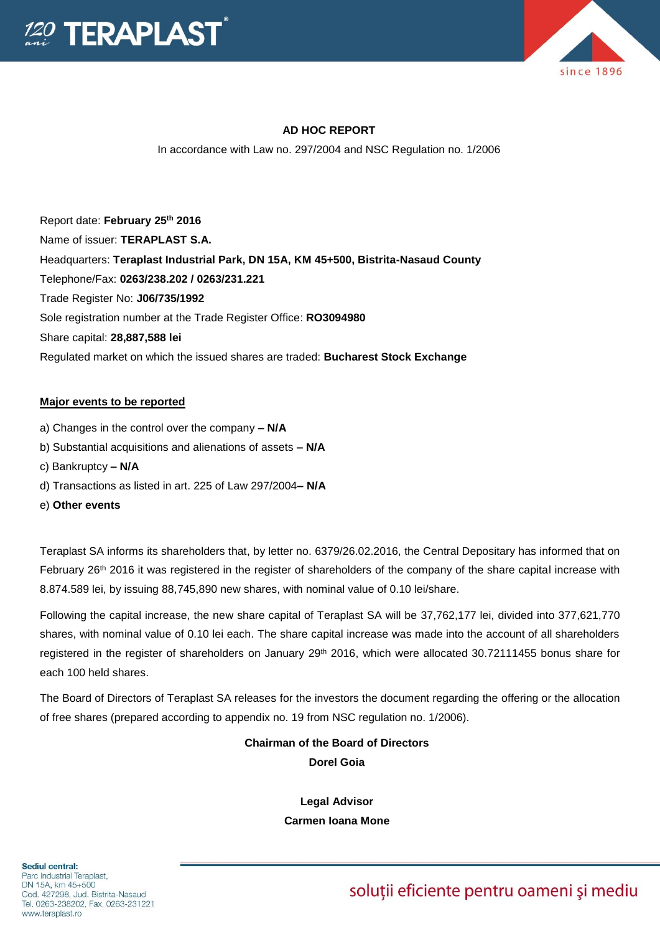



## **AD HOC REPORT**

In accordance with Law no. 297/2004 and NSC Regulation no. 1/2006

Report date: **February 25th 2016** Name of issuer: **TERAPLAST S.A.**  Headquarters: **Teraplast Industrial Park, DN 15A, KM 45+500, Bistrita-Nasaud County** Telephone/Fax: **0263/238.202 / 0263/231.221** Trade Register No: **J06/735/1992** Sole registration number at the Trade Register Office: **RO3094980** Share capital: **28,887,588 lei** Regulated market on which the issued shares are traded: **Bucharest Stock Exchange**

#### **Major events to be reported**

- a) Changes in the control over the company **– N/A**
- b) Substantial acquisitions and alienations of assets **– N/A**
- c) Bankruptcy **– N/A**
- d) Transactions as listed in art. 225 of Law 297/2004**– N/A**
- e) **Other events**

Teraplast SA informs its shareholders that, by letter no. 6379/26.02.2016, the Central Depositary has informed that on February 26<sup>th</sup> 2016 it was registered in the register of shareholders of the company of the share capital increase with 8.874.589 lei, by issuing 88,745,890 new shares, with nominal value of 0.10 lei/share.

Following the capital increase, the new share capital of Teraplast SA will be 37,762,177 lei, divided into 377,621,770 shares, with nominal value of 0.10 lei each. The share capital increase was made into the account of all shareholders registered in the register of shareholders on January 29<sup>th</sup> 2016, which were allocated 30.72111455 bonus share for each 100 held shares.

The Board of Directors of Teraplast SA releases for the investors the document regarding the offering or the allocation of free shares (prepared according to appendix no. 19 from NSC regulation no. 1/2006).

> **Chairman of the Board of Directors Dorel Goia**

> > **Legal Advisor Carmen Ioana Mone**

soluții eficiente pentru oameni și mediu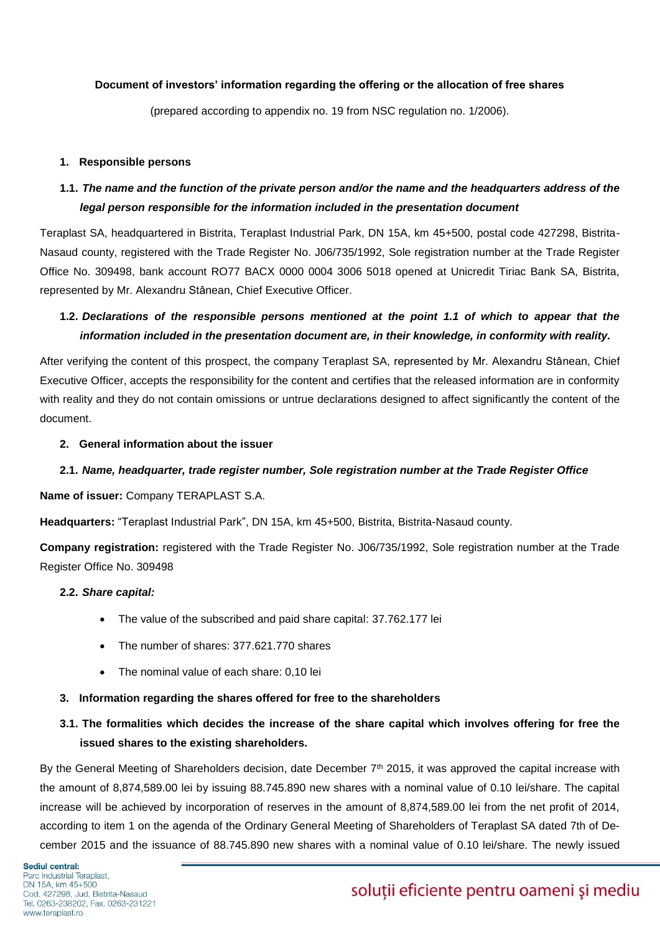#### **Document of investors' information regarding the offering or the allocation of free shares**

(prepared according to appendix no. 19 from NSC regulation no. 1/2006).

#### **1. Responsible persons**

# **1.1.** *The name and the function of the private person and/or the name and the headquarters address of the legal person responsible for the information included in the presentation document*

Teraplast SA, headquartered in Bistrita, Teraplast Industrial Park, DN 15A, km 45+500, postal code 427298, Bistrita-Nasaud county, registered with the Trade Register No. J06/735/1992, Sole registration number at the Trade Register Office No. 309498, bank account RO77 BACX 0000 0004 3006 5018 opened at Unicredit Tiriac Bank SA, Bistrita, represented by Mr. Alexandru Stânean, Chief Executive Officer.

## **1.2.** *Declarations of the responsible persons mentioned at the point 1.1 of which to appear that the information included in the presentation document are, in their knowledge, in conformity with reality.*

After verifying the content of this prospect, the company Teraplast SA, represented by Mr. Alexandru Stânean, Chief Executive Officer, accepts the responsibility for the content and certifies that the released information are in conformity with reality and they do not contain omissions or untrue declarations designed to affect significantly the content of the document.

#### **2. General information about the issuer**

## **2.1.** *Name, headquarter, trade register number, Sole registration number at the Trade Register Office*

#### **Name of issuer:** Company TERAPLAST S.A.

**Headquarters:** "Teraplast Industrial Park", DN 15A, km 45+500, Bistrita, Bistrita-Nasaud county.

**Company registration:** registered with the Trade Register No. J06/735/1992, Sole registration number at the Trade Register Office No. 309498

#### **2.2.** *Share capital:*

- The value of the subscribed and paid share capital: 37.762.177 lei
- The number of shares: 377.621.770 shares
- The nominal value of each share: 0,10 lei

#### **3. Information regarding the shares offered for free to the shareholders**

## **3.1. The formalities which decides the increase of the share capital which involves offering for free the issued shares to the existing shareholders.**

By the General Meeting of Shareholders decision, date December  $7<sup>th</sup>$  2015, it was approved the capital increase with the amount of 8,874,589.00 lei by issuing 88.745.890 new shares with a nominal value of 0.10 lei/share. The capital increase will be achieved by incorporation of reserves in the amount of 8,874,589.00 lei from the net profit of 2014, according to item 1 on the agenda of the Ordinary General Meeting of Shareholders of Teraplast SA dated 7th of December 2015 and the issuance of 88.745.890 new shares with a nominal value of 0.10 lei/share. The newly issued

# soluții eficiente pentru oameni și mediu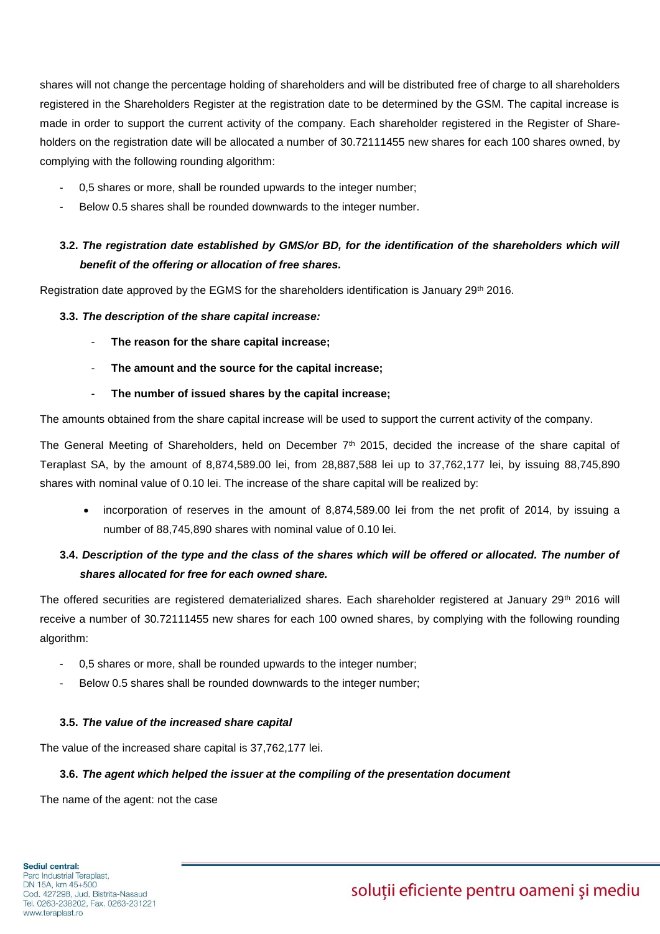shares will not change the percentage holding of shareholders and will be distributed free of charge to all shareholders registered in the Shareholders Register at the registration date to be determined by the GSM. The capital increase is made in order to support the current activity of the company. Each shareholder registered in the Register of Shareholders on the registration date will be allocated a number of 30.72111455 new shares for each 100 shares owned, by complying with the following rounding algorithm:

- 0,5 shares or more, shall be rounded upwards to the integer number;
- Below 0.5 shares shall be rounded downwards to the integer number.

# **3.2.** *The registration date established by GMS/or BD, for the identification of the shareholders which will benefit of the offering or allocation of free shares.*

Registration date approved by the EGMS for the shareholders identification is January 29<sup>th</sup> 2016.

#### **3.3.** *The description of the share capital increase:*

- **The reason for the share capital increase;**
- The amount and the source for the capital increase;
- **The number of issued shares by the capital increase;**

The amounts obtained from the share capital increase will be used to support the current activity of the company.

The General Meeting of Shareholders, held on December 7<sup>th</sup> 2015, decided the increase of the share capital of Teraplast SA, by the amount of 8,874,589.00 lei, from 28,887,588 lei up to 37,762,177 lei, by issuing 88,745,890 shares with nominal value of 0.10 lei. The increase of the share capital will be realized by:

 incorporation of reserves in the amount of 8,874,589.00 lei from the net profit of 2014, by issuing a number of 88,745,890 shares with nominal value of 0.10 lei.

## **3.4.** *Description of the type and the class of the shares which will be offered or allocated. The number of shares allocated for free for each owned share.*

The offered securities are registered dematerialized shares. Each shareholder registered at January 29<sup>th</sup> 2016 will receive a number of 30.72111455 new shares for each 100 owned shares, by complying with the following rounding algorithm:

- 0,5 shares or more, shall be rounded upwards to the integer number;
- Below 0.5 shares shall be rounded downwards to the integer number;

## **3.5.** *The value of the increased share capital*

The value of the increased share capital is 37,762,177 lei.

#### **3.6.** *The agent which helped the issuer at the compiling of the presentation document*

The name of the agent: not the case